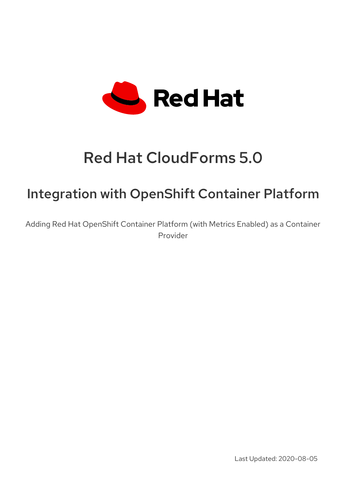

# Red Hat CloudForms 5.0

# Integration with OpenShift Container Platform

Adding Red Hat OpenShift Container Platform (with Metrics Enabled) as a Container Provider

Last Updated: 2020-08-05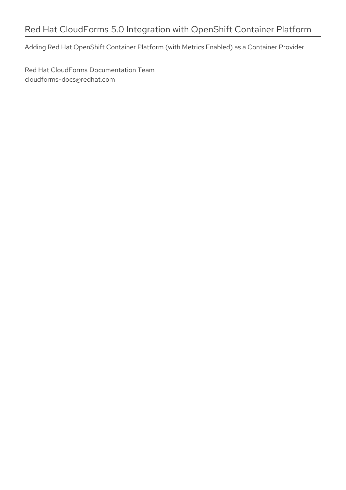Adding Red Hat OpenShift Container Platform (with Metrics Enabled) as a Container Provider

Red Hat CloudForms Documentation Team cloudforms-docs@redhat.com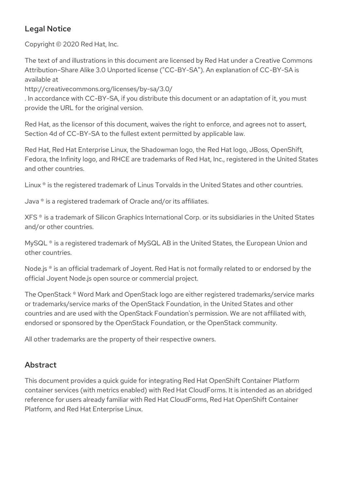## Legal Notice

Copyright © 2020 Red Hat, Inc.

The text of and illustrations in this document are licensed by Red Hat under a Creative Commons Attribution–Share Alike 3.0 Unported license ("CC-BY-SA"). An explanation of CC-BY-SA is available at

http://creativecommons.org/licenses/by-sa/3.0/

. In accordance with CC-BY-SA, if you distribute this document or an adaptation of it, you must provide the URL for the original version.

Red Hat, as the licensor of this document, waives the right to enforce, and agrees not to assert, Section 4d of CC-BY-SA to the fullest extent permitted by applicable law.

Red Hat, Red Hat Enterprise Linux, the Shadowman logo, the Red Hat logo, JBoss, OpenShift, Fedora, the Infinity logo, and RHCE are trademarks of Red Hat, Inc., registered in the United States and other countries.

Linux ® is the registered trademark of Linus Torvalds in the United States and other countries.

Java ® is a registered trademark of Oracle and/or its affiliates.

XFS ® is a trademark of Silicon Graphics International Corp. or its subsidiaries in the United States and/or other countries.

MySQL<sup>®</sup> is a registered trademark of MySQL AB in the United States, the European Union and other countries.

Node.js ® is an official trademark of Joyent. Red Hat is not formally related to or endorsed by the official Joyent Node.js open source or commercial project.

The OpenStack ® Word Mark and OpenStack logo are either registered trademarks/service marks or trademarks/service marks of the OpenStack Foundation, in the United States and other countries and are used with the OpenStack Foundation's permission. We are not affiliated with, endorsed or sponsored by the OpenStack Foundation, or the OpenStack community.

All other trademarks are the property of their respective owners.

## Abstract

This document provides a quick guide for integrating Red Hat OpenShift Container Platform container services (with metrics enabled) with Red Hat CloudForms. It is intended as an abridged reference for users already familiar with Red Hat CloudForms, Red Hat OpenShift Container Platform, and Red Hat Enterprise Linux.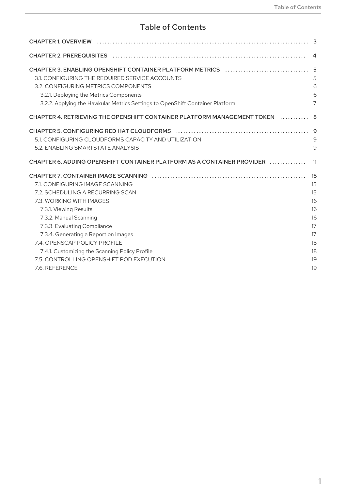# **Table of Contents**

| -4<br>CHAPTER 3. ENABLING OPENSHIFT CONTAINER PLATFORM METRICS<br>- 5<br>3.1. CONFIGURING THE REQUIRED SERVICE ACCOUNTS<br>5<br>3.2. CONFIGURING METRICS COMPONENTS<br>6<br>6<br>3.2.1. Deploying the Metrics Components<br>7<br>3.2.2. Applying the Hawkular Metrics Settings to OpenShift Container Platform<br>CHAPTER 4. RETRIEVING THE OPENSHIFT CONTAINER PLATFORM MANAGEMENT TOKEN<br>8<br>5.1. CONFIGURING CLOUDFORMS CAPACITY AND UTILIZATION<br>9<br>5.2. ENABLING SMARTSTATE ANALYSIS<br>9<br>CHAPTER 6. ADDING OPENSHIFT CONTAINER PLATFORM AS A CONTAINER PROVIDER  11<br>- 15<br>15<br>7.1. CONFIGURING IMAGE SCANNING<br>7.2. SCHEDULING A RECURRING SCAN<br>15<br>7.3. WORKING WITH IMAGES<br>16<br>7.3.1. Viewing Results<br>16<br>7.3.2. Manual Scanning<br>16<br>7.3.3. Evaluating Compliance<br>17<br>7.3.4. Generating a Report on Images<br>17<br>7.4. OPENSCAP POLICY PROFILE<br>18<br>7.4.1. Customizing the Scanning Policy Profile<br>18<br>7.5. CONTROLLING OPENSHIFT POD EXECUTION<br>19<br>7.6. REFERENCE<br>19 |  |
|----------------------------------------------------------------------------------------------------------------------------------------------------------------------------------------------------------------------------------------------------------------------------------------------------------------------------------------------------------------------------------------------------------------------------------------------------------------------------------------------------------------------------------------------------------------------------------------------------------------------------------------------------------------------------------------------------------------------------------------------------------------------------------------------------------------------------------------------------------------------------------------------------------------------------------------------------------------------------------------------------------------------------------------------|--|
|                                                                                                                                                                                                                                                                                                                                                                                                                                                                                                                                                                                                                                                                                                                                                                                                                                                                                                                                                                                                                                              |  |
|                                                                                                                                                                                                                                                                                                                                                                                                                                                                                                                                                                                                                                                                                                                                                                                                                                                                                                                                                                                                                                              |  |
|                                                                                                                                                                                                                                                                                                                                                                                                                                                                                                                                                                                                                                                                                                                                                                                                                                                                                                                                                                                                                                              |  |
|                                                                                                                                                                                                                                                                                                                                                                                                                                                                                                                                                                                                                                                                                                                                                                                                                                                                                                                                                                                                                                              |  |
|                                                                                                                                                                                                                                                                                                                                                                                                                                                                                                                                                                                                                                                                                                                                                                                                                                                                                                                                                                                                                                              |  |
|                                                                                                                                                                                                                                                                                                                                                                                                                                                                                                                                                                                                                                                                                                                                                                                                                                                                                                                                                                                                                                              |  |
|                                                                                                                                                                                                                                                                                                                                                                                                                                                                                                                                                                                                                                                                                                                                                                                                                                                                                                                                                                                                                                              |  |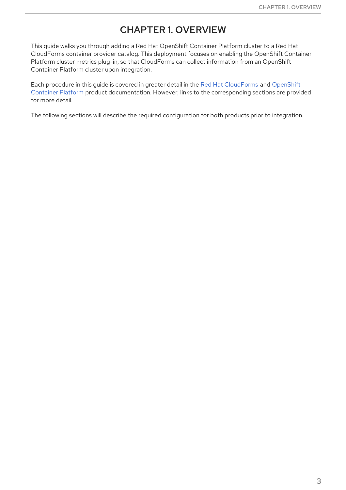# CHAPTER 1. OVERVIEW

<span id="page-6-0"></span>This guide walks you through adding a Red Hat OpenShift Container Platform cluster to a Red Hat CloudForms container provider catalog. This deployment focuses on enabling the OpenShift Container Platform cluster metrics plug-in, so that CloudForms can collect information from an OpenShift Container Platform cluster upon integration.

Each procedure in this guide is covered in greater detail in the Red Hat [CloudForms](https://access.redhat.com/documentation/en/red-hat-cloudforms/) and OpenShift Container Platform product [documentation.](https://access.redhat.com/documentation/en/openshift-container-platform/) However, links to the corresponding sections are provided for more detail.

The following sections will describe the required configuration for both products prior to integration.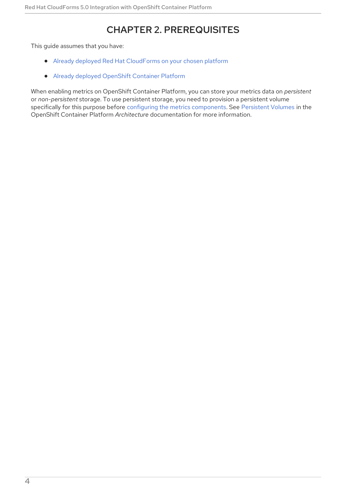# CHAPTER 2. PREREQUISITES

<span id="page-7-0"></span>This guide assumes that you have:

- Already deployed Red Hat [CloudForms](https://access.redhat.com/documentation/en/red-hat-cloudforms/) on your chosen platform
- Already deployed [OpenShift](https://access.redhat.com/documentation/en-us/openshift_container_platform/3.9/html/installation_and_configuration/) Container Platform

When enabling metrics on OpenShift Container Platform, you can store your metrics data on *persistent* or *non-persistent* storage. To use persistent storage, you need to provision a persistent volume specifically for this purpose before configuring the metrics [components](#page-9-0). See [Persistent](https://access.redhat.com/documentation/en-us/openshift_container_platform/3.9/html/architecture/additional-concepts#architecture-additional-concepts-storage) Volumes in the OpenShift Container Platform *Architecture* documentation for more information.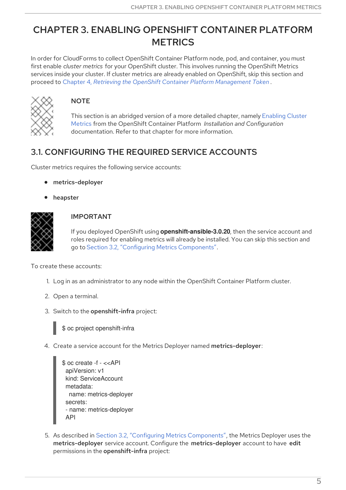# <span id="page-8-0"></span>CHAPTER 3. ENABLING OPENSHIFT CONTAINER PLATFORM **MFTRICS**

In order for CloudForms to collect OpenShift Container Platform node, pod, and container, you must first enable *cluster metrics* for your OpenShift cluster. This involves running the OpenShift Metrics services inside your cluster. If cluster metrics are already enabled on OpenShift, skip this section and proceed to Chapter 4, *Retrieving the OpenShift Container Platform [Management](#page-11-1) Token* .



## **NOTE**

This section is an abridged version of a more detailed chapter, namely Enabling Cluster Metrics from the OpenShift Container Platform *Installation and [Configuration](https://access.redhat.com/documentation/en-us/openshift_container_platform/3.9/html/installation_and_configuration/install-config-cluster-metrics)* documentation. Refer to that chapter for more information.

## <span id="page-8-1"></span>3.1. CONFIGURING THE REQUIRED SERVICE ACCOUNTS

Cluster metrics requires the following service accounts:

- metrics-deployer
- heapster

#### IMPORTANT

If you deployed OpenShift using **openshift-ansible-3.0.20**, then the service account and roles required for enabling metrics will already be installed. You can skip this section and go to Section 3.2, "Configuring Metrics [Components".](#page-9-0)

To create these accounts:

- 1. Log in as an administrator to any node within the OpenShift Container Platform cluster.
- 2. Open a terminal.
- 3. Switch to the openshift-infra project:



\$ oc project openshift-infra

4. Create a service account for the Metrics Deployer named metrics-deployer:

```
$ oc create -f - <<API
apiVersion: v1
kind: ServiceAccount
metadata:
 name: metrics-deployer
secrets:
- name: metrics-deployer
API
```
5. As described in Section 3.2, "Configuring Metrics [Components"](#page-9-0), the Metrics Deployer uses the metrics-deployer service account. Configure the metrics-deployer account to have edit permissions in the openshift-infra project: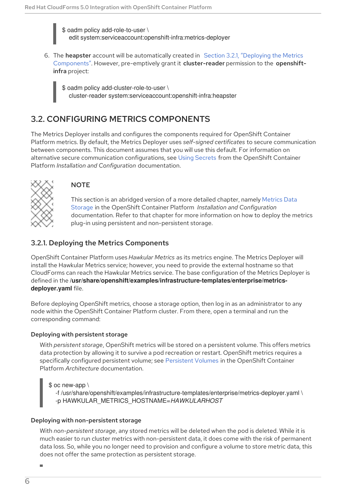<span id="page-9-2"></span>\$ oadm policy add-role-to-user \ edit system:serviceaccount:openshift-infra:metrics-deployer

6. The heapster account will be automatically created in Section 3.2.1, "Deploying the Metrics Components". However, pre-emptively grant it [cluster-reader](#page-9-1) permission to the openshiftinfra project:

\$ oadm policy add-cluster-role-to-user \ cluster-reader system:serviceaccount:openshift-infra:heapster

## <span id="page-9-0"></span>3.2. CONFIGURING METRICS COMPONENTS

The Metrics Deployer installs and configures the components required for OpenShift Container Platform metrics. By default, the Metrics Deployer uses *self-signed certificates* to secure communication between components. This document assumes that you will use this default. For information on alternative secure communication configurations, see Using [Secrets](https://access.redhat.com/documentation/en-us/openshift_container_platform/3.9/html/installation_and_configuration/install-config-cluster-metrics#metrics-using-secrets) from the OpenShift Container Platform *Installation and Configuration* documentation.



#### **NOTE**

This section is an abridged version of a more detailed chapter, namely Metrics Data Storage in the OpenShift Container Platform *Installation and [Configuration](https://access.redhat.com/documentation/en-us/openshift_container_platform/3.9/html/installation_and_configuration/install-config-cluster-metrics#metrics-data-storage)* documentation. Refer to that chapter for more information on how to deploy the metrics plug-in using persistent and non-persistent storage.

## <span id="page-9-1"></span>3.2.1. Deploying the Metrics Components

OpenShift Container Platform uses *Hawkular Metrics* as its metrics engine. The Metrics Deployer will install the Hawkular Metrics service; however, you need to provide the external hostname so that CloudForms can reach the Hawkular Metrics service. The base configuration of the Metrics Deployer is defined in the **/usr/share/openshift/examples/infrastructure-templates/enterprise/metricsdeployer.yaml** file.

Before deploying OpenShift metrics, choose a storage option, then log in as an administrator to any node within the OpenShift Container Platform cluster. From there, open a terminal and run the corresponding command:

#### Deploying with persistent storage

With *persistent storage*, OpenShift metrics will be stored on a persistent volume. This offers metrics data protection by allowing it to survive a pod recreation or restart. OpenShift metrics requires a specifically configured persistent volume; see [Persistent](https://access.redhat.com/documentation/en-us/openshift_container_platform/3.9/html/architecture/additional-concepts#persistent-volumes) Volumes in the OpenShift Container Platform *Architecture* documentation.

#### \$ oc new-app \

-f /usr/share/openshift/examples/infrastructure-templates/enterprise/metrics-deployer.yaml \ -p HAWKULAR\_METRICS\_HOSTNAME=*HAWKULARHOST*

#### Deploying with non-persistent storage

With *non-persistent storage*, any stored metrics will be deleted when the pod is deleted. While it is much easier to run cluster metrics with non-persistent data, it does come with the risk of permanent data loss. So, while you no longer need to provision and configure a volume to store metric data, this does not offer the same protection as persistent storage.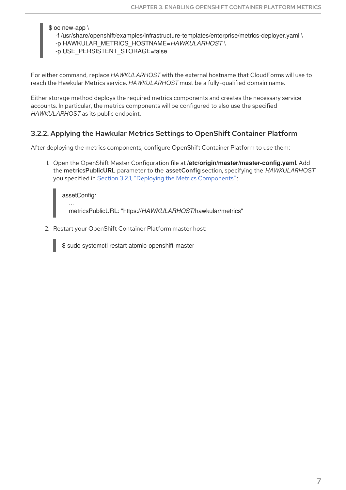#### \$ oc new-app \

-f /usr/share/openshift/examples/infrastructure-templates/enterprise/metrics-deployer.yaml \ -p HAWKULAR\_METRICS\_HOSTNAME=*HAWKULARHOST* \ -p USE\_PERSISTENT\_STORAGE=false

For either command, replace *HAWKULARHOST* with the external hostname that CloudForms will use to reach the Hawkular Metrics service. *HAWKULARHOST* must be a fully-qualified domain name.

Either storage method deploys the required metrics components and creates the necessary service accounts. In particular, the metrics components will be configured to also use the specified *HAWKULARHOST* as its public endpoint.

## <span id="page-10-0"></span>3.2.2. Applying the Hawkular Metrics Settings to OpenShift Container Platform

After deploying the metrics components, configure OpenShift Container Platform to use them:

1. Open the OpenShift Master Configuration file at **/etc/origin/master/master-config.yaml**. Add the metricsPublicURL parameter to the assetConfig section, specifying the *HAWKULARHOST* you specified in Section 3.2.1, "Deploying the Metrics [Components"](#page-9-1):

assetConfig: ... metricsPublicURL: "https://*HAWKULARHOST*/hawkular/metrics"

2. Restart your OpenShift Container Platform master host:

\$ sudo systemctl restart atomic-openshift-master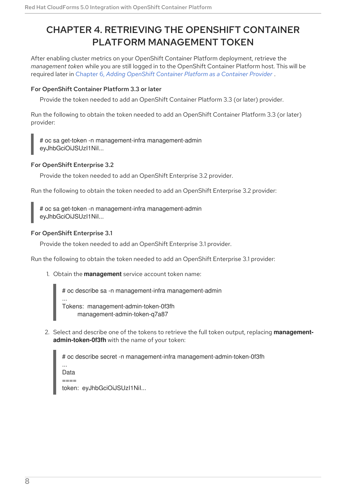# <span id="page-11-1"></span><span id="page-11-0"></span>CHAPTER 4. RETRIEVING THE OPENSHIFT CONTAINER PLATFORM MANAGEMENT TOKEN

After enabling cluster metrics on your OpenShift Container Platform deployment, retrieve the *management token* while you are still logged in to the OpenShift Container Platform host. This will be required later in Chapter 6, *Adding [OpenShift](#page-15-0) Container Platform as a Container Provider* .

#### For OpenShift Container Platform 3.3 or later

Provide the token needed to add an OpenShift Container Platform 3.3 (or later) provider.

Run the following to obtain the token needed to add an OpenShift Container Platform 3.3 (or later) provider:

# oc sa get-token -n management-infra management-admin eyJhbGciOiJSUzI1NiI...

#### For OpenShift Enterprise 3.2

Provide the token needed to add an OpenShift Enterprise 3.2 provider.

Run the following to obtain the token needed to add an OpenShift Enterprise 3.2 provider:

# oc sa get-token -n management-infra management-admin eyJhbGciOiJSUzI1NiI...

#### For OpenShift Enterprise 3.1

Provide the token needed to add an OpenShift Enterprise 3.1 provider.

Run the following to obtain the token needed to add an OpenShift Enterprise 3.1 provider:

1. Obtain the **management** service account token name:

# oc describe sa -n management-infra management-admin

... Tokens: management-admin-token-0f3fh management-admin-token-q7a87

2. Select and describe one of the tokens to retrieve the full token output, replacing **managementadmin-token-0f3fh** with the name of your token:

# oc describe secret -n management-infra management-admin-token-0f3fh

| Data |                            |
|------|----------------------------|
|      |                            |
|      | token: eyJhbGciOiJSUzI1Nil |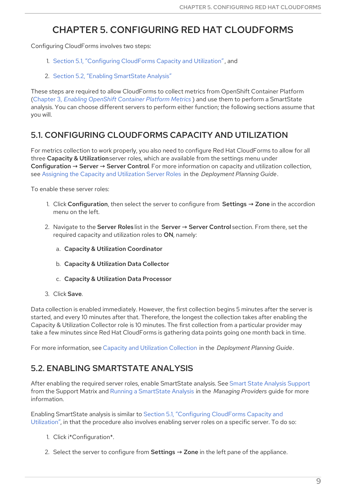# CHAPTER 5. CONFIGURING RED HAT CLOUDFORMS

<span id="page-12-0"></span>Configuring CloudForms involves two steps:

- 1. Section 5.1, ["Configuring](#page-12-1) CloudForms Capacity and Utilization", and
- 2. Section 5.2, "Enabling [SmartState](#page-12-2) Analysis"

These steps are required to allow CloudForms to collect metrics from OpenShift Container Platform (Chapter 3, *Enabling [OpenShift](#page-9-2) Container Platform Metrics* ) and use them to perform a SmartState analysis. You can choose different servers to perform either function; the following sections assume that you will.

## <span id="page-12-1"></span>5.1. CONFIGURING CLOUDFORMS CAPACITY AND UTILIZATION

For metrics collection to work properly, you also need to configure Red Hat CloudForms to allow for all three Capacity & Utilizationserver roles, which are available from the settings menu under Configuration → Server → Server Control. For more information on capacity and utilization collection, see Assigning the Capacity and [Utilization](https://access.redhat.com/documentation/en-us/red_hat_cloudforms/4.7/html/deployment_planning_guide/capacity_planning#assigning_the_capacity_and_utilization_server_roles) Server Roles in the *Deployment Planning Guide*.

To enable these server roles:

- 1. Click Configuration, then select the server to configure from Settings  $\rightarrow$  Zone in the accordion menu on the left.
- 2. Navigate to the Server Roles list in the Server → Server Control section. From there, set the required capacity and utilization roles to ON, namely:
	- a. Capacity & Utilization Coordinator
	- b. Capacity & Utilization Data Collector
	- c. Capacity & Utilization Data Processor
- 3. Click Save.

Data collection is enabled immediately. However, the first collection begins 5 minutes after the server is started, and every 10 minutes after that. Therefore, the longest the collection takes after enabling the Capacity & Utilization Collector role is 10 minutes. The first collection from a particular provider may take a few minutes since Red Hat CloudForms is gathering data points going one month back in time.

For more information, see Capacity and Utilization [Collection](https://access.redhat.com/documentation/en-us/red_hat_cloudforms/4.7/html-single/deployment_planning_guide/#capacity-and-utilization-collection) in the *Deployment Planning Guide*.

## <span id="page-12-2"></span>5.2. ENABLING SMARTSTATE ANALYSIS

After enabling the required server roles, enable SmartState analysis. See Smart State Analysis [Support](https://access.redhat.com/documentation/en-us/red_hat_cloudforms/4.7/html-single/support_matrix/#smart_state_analysis_support) from the Support Matrix and Running a [SmartState](https://access.redhat.com/documentation/en-us/red_hat_cloudforms/4.7/html-single/managing_providers/#running-a-smartstate-analysis) Analysis in the *Managing Providers* guide for more information.

Enabling SmartState analysis is similar to Section 5.1, ["Configuring](#page-12-1) CloudForms Capacity and Utilization", in that the procedure also involves enabling server roles on a specific server. To do so:

- 1. Click i\*Configuration\*.
- 2. Select the server to configure from Settings  $\rightarrow$  Zone in the left pane of the appliance.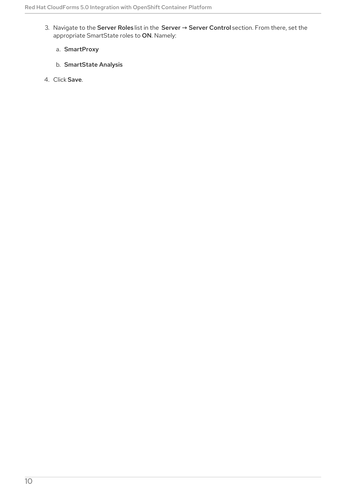- 3. Navigate to the Server Roles list in the Server → Server Control section. From there, set the appropriate SmartState roles to ON. Namely:
	- a. SmartProxy
	- b. SmartState Analysis
- 4. Click Save.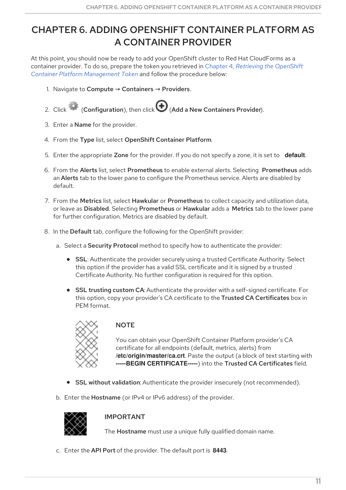# <span id="page-14-0"></span>CHAPTER 6. ADDING OPENSHIFT CONTAINER PLATFORM AS A CONTAINER PROVIDER

At this point, you should now be ready to add your OpenShift cluster to Red Hat CloudForms as a container provider. To do so, prepare the token you retrieved in Chapter 4, *Retrieving the OpenShift Container Platform [Management](#page-11-1) Token* and follow the procedure below:

- 1. Navigate to Compute  $\rightarrow$  Containers  $\rightarrow$  Providers.
- 2. Click (Configuration), then click  $\bigoplus$  (Add a New Containers Provider).
- 3. Enter a Name for the provider.
- 4. From the Type list, select OpenShift Container Platform.
- 5. Enter the appropriate Zone for the provider. If you do not specify a zone, it is set to **default**.
- 6. From the Alerts list, select Prometheus to enable external alerts. Selecting Prometheus adds an Alerts tab to the lower pane to configure the Prometheus service. Alerts are disabled by default.
- 7. From the Metrics list, select Hawkular or Prometheus to collect capacity and utilization data, or leave as Disabled. Selecting Prometheus or Hawkular adds a Metrics tab to the lower pane for further configuration. Metrics are disabled by default.
- 8. In the Default tab, configure the following for the OpenShift provider:
	- a. Select a Security Protocol method to specify how to authenticate the provider:
		- SSL: Authenticate the provider securely using a trusted Certificate Authority. Select this option if the provider has a valid SSL certificate and it is signed by a trusted Certificate Authority. No further configuration is required for this option.
		- **SSL trusting custom CA:** Authenticate the provider with a self-signed certificate. For this option, copy your provider's CA certificate to the Trusted CA Certificates box in PEM format.



#### **NOTE**

You can obtain your OpenShift Container Platform provider's CA certificate for all endpoints (default, metrics, alerts) from **/etc/origin/master/ca.crt**. Paste the output (a block of text starting with **-----BEGIN CERTIFICATE-----**) into the Trusted CA Certificates field.

- SSL without validation: Authenticate the provider insecurely (not recommended).
- b. Enter the Hostname (or IPv4 or IPv6 address) of the provider.



#### IMPORTANT

The Hostname must use a unique fully qualified domain name.

c. Enter the API Port of the provider. The default port is **8443**.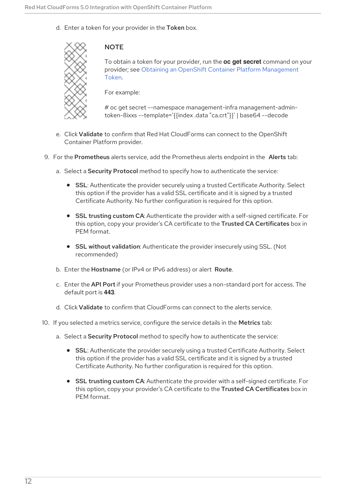<span id="page-15-0"></span>d. Enter a token for your provider in the Token box.



## **NOTE**

To obtain a token for your provider, run the **oc get secret** command on your provider; see Obtaining an OpenShift Container Platform [Management](https://access.redhat.com/documentation/en-us/red_hat_cloudforms/4.7/html-single/managing_providers/#Obtaining_OpenShift_Container_Platform_Management_Token) Token.

For example:

# oc get secret --namespace management-infra management-admintoken-8ixxs --template='{{index .data "ca.crt"}}' | base64 --decode

- e. Click Validate to confirm that Red Hat CloudForms can connect to the OpenShift Container Platform provider.
- 9. For the Prometheus alerts service, add the Prometheus alerts endpoint in the Alerts tab:
	- a. Select a Security Protocol method to specify how to authenticate the service:
		- SSL: Authenticate the provider securely using a trusted Certificate Authority. Select this option if the provider has a valid SSL certificate and it is signed by a trusted Certificate Authority. No further configuration is required for this option.
		- **SSL trusting custom CA:** Authenticate the provider with a self-signed certificate. For this option, copy your provider's CA certificate to the Trusted CA Certificates box in PEM format.
		- SSL without validation: Authenticate the provider insecurely using SSL. (Not recommended)
	- b. Enter the Hostname (or IPv4 or IPv6 address) or alert Route.
	- c. Enter the API Port if your Prometheus provider uses a non-standard port for access. The default port is **443**.
	- d. Click Validate to confirm that CloudForms can connect to the alerts service.
- 10. If you selected a metrics service, configure the service details in the Metrics tab:
	- a. Select a Security Protocol method to specify how to authenticate the service:
		- **SSL:** Authenticate the provider securely using a trusted Certificate Authority. Select this option if the provider has a valid SSL certificate and it is signed by a trusted Certificate Authority. No further configuration is required for this option.
		- **SSL trusting custom CA:** Authenticate the provider with a self-signed certificate. For this option, copy your provider's CA certificate to the Trusted CA Certificates box in PEM format.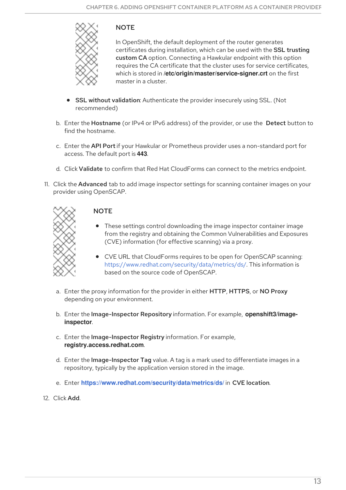

## **NOTE**

In OpenShift, the default deployment of the router generates certificates during installation, which can be used with the SSL trusting custom CA option. Connecting a Hawkular endpoint with this option requires the CA certificate that the cluster uses for service certificates, which is stored in **/etc/origin/master/service-signer.crt** on the first master in a cluster.

- SSL without validation: Authenticate the provider insecurely using SSL. (Not recommended)
- b. Enter the Hostname (or IPv4 or IPv6 address) of the provider, or use the Detect button to find the hostname.
- c. Enter the API Port if your Hawkular or Prometheus provider uses a non-standard port for access. The default port is **443**.
- d. Click Validate to confirm that Red Hat CloudForms can connect to the metrics endpoint.
- 11. Click the Advanced tab to add image inspector settings for scanning container images on your provider using OpenSCAP.



## **NOTE**

- These settings control downloading the image inspector container image from the registry and obtaining the Common Vulnerabilities and Exposures (CVE) information (for effective scanning) via a proxy.
- CVE URL that CloudForms requires to be open for OpenSCAP scanning: [https://www.redhat.com/security/data/metrics/ds/.](https://www.redhat.com/security/data/metrics/ds/) This information is based on the source code of OpenSCAP.
- a. Enter the proxy information for the provider in either HTTP, HTTPS, or NO Proxy depending on your environment.
- b. Enter the Image-Inspector Repository information. For example, **openshift3/imageinspector**.
- c. Enter the Image-Inspector Registry information. For example, **registry.access.redhat.com**.
- d. Enter the Image-Inspector Tag value. A tag is a mark used to differentiate images in a repository, typically by the application version stored in the image.
- e. Enter **<https://www.redhat.com/security/data/metrics/ds/>** in CVE location.
- 12. Click Add.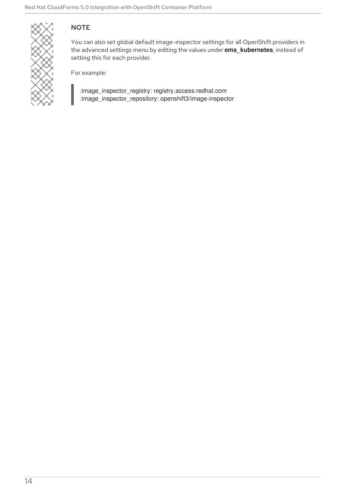

## **NOTE**

You can also set global default image-inspector settings for all OpenShift providers in the advanced settings menu by editing the values under **ems\_kubernetes**, instead of setting this for each provider.

For example:

:image\_inspector\_registry: registry.access.redhat.com :image\_inspector\_repository: openshift3/image-inspector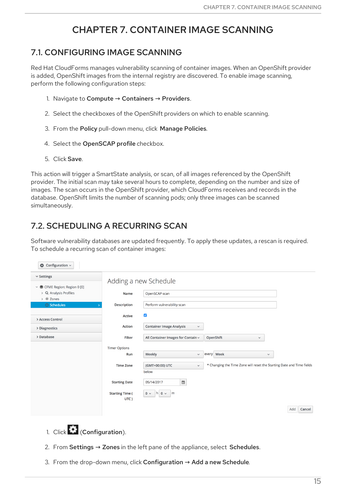# CHAPTER 7. CONTAINER IMAGE SCANNING

## <span id="page-18-1"></span><span id="page-18-0"></span>7.1. CONFIGURING IMAGE SCANNING

Red Hat CloudForms manages vulnerability scanning of container images. When an OpenShift provider is added, OpenShift images from the internal registry are discovered. To enable image scanning, perform the following configuration steps:

- 1. Navigate to Compute  $\rightarrow$  Containers  $\rightarrow$  Providers.
- 2. Select the checkboxes of the OpenShift providers on which to enable scanning.
- 3. From the Policy pull-down menu, click Manage Policies.
- 4. Select the OpenSCAP profile checkbox.
- 5. Click Save.

This action will trigger a SmartState analysis, or scan, of all images referenced by the OpenShift provider. The initial scan may take several hours to complete, depending on the number and size of images. The scan occurs in the OpenShift provider, which CloudForms receives and records in the database. OpenShift limits the number of scanning pods; only three images can be scanned simultaneously.

## <span id="page-18-2"></span>7.2. SCHEDULING A RECURRING SCAN

Software vulnerability databases are updated frequently. To apply these updates, a rescan is required. To schedule a recurring scan of container images:

| $\bullet$ Configuration $\sim$                        |                                                                                                           |                                                                                                                                                                                                                                                  |
|-------------------------------------------------------|-----------------------------------------------------------------------------------------------------------|--------------------------------------------------------------------------------------------------------------------------------------------------------------------------------------------------------------------------------------------------|
| $\vee$ Settings<br>$\vee$ S CFME Region: Region 0 [0] |                                                                                                           | Adding a new Schedule                                                                                                                                                                                                                            |
| > Q Analysis Profiles                                 | Name                                                                                                      | OpenSCAP scan                                                                                                                                                                                                                                    |
| > <sup>®</sup> Zones<br><b><i>O</i></b> Schedules     | <b>Description</b>                                                                                        | Perform vulnerability scan                                                                                                                                                                                                                       |
|                                                       |                                                                                                           |                                                                                                                                                                                                                                                  |
| > Access Control                                      | <b>Active</b>                                                                                             | $\blacktriangledown$                                                                                                                                                                                                                             |
| > Diagnostics                                         | <b>Action</b>                                                                                             | <b>Container Image Analysis</b><br>$\checkmark$                                                                                                                                                                                                  |
| > Database                                            | Filter                                                                                                    | All Container Images for Contain ~<br>OpenShift<br>$\checkmark$                                                                                                                                                                                  |
|                                                       | <b>Timer Options</b><br>Run<br><b>Time Zone</b><br><b>Starting Date</b><br><b>Starting Time (</b><br>UTC) | every Week<br>Weekly<br>$\checkmark$<br>$\checkmark$<br>* Changing the Time Zone will reset the Starting Date and Time fields<br>(GMT+00:00) UTC<br>$\checkmark$<br>below<br>₩<br>05/14/2017<br>$h \circ \checkmark$<br>$0 \sim$<br>$\mathsf{m}$ |
|                                                       |                                                                                                           | Add<br>Cancel                                                                                                                                                                                                                                    |

- 1. Click (Configuration).
- 2. From Settings  $\rightarrow$  Zones in the left pane of the appliance, select Schedules.
- 3. From the drop-down menu, click Configuration  $→$  Add a new Schedule.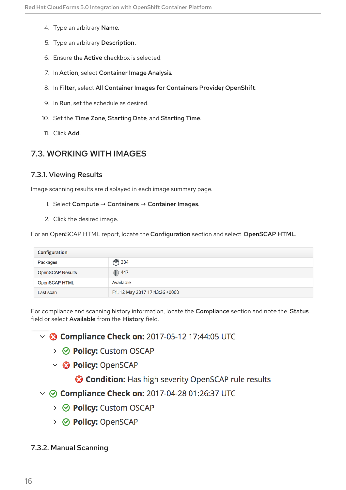- 4. Type an arbitrary Name.
- 5. Type an arbitrary Description.
- 6. Ensure the Active checkbox is selected.
- 7. In Action, select Container Image Analysis.
- 8. In Filter, select All Container Images for Containers Provider, OpenShift.
- 9. In Run, set the schedule as desired.
- 10. Set the Time Zone, Starting Date, and Starting Time.
- 11. Click Add.

## <span id="page-19-0"></span>7.3. WORKING WITH IMAGES

## <span id="page-19-1"></span>7.3.1. Viewing Results

Image scanning results are displayed in each image summary page.

- 1. Select Compute → Containers → Container Images.
- 2. Click the desired image.

For an OpenSCAP HTML report, locate the Configuration section and select OpenSCAP HTML.

| Configuration           |                                 |
|-------------------------|---------------------------------|
| Packages                | $^{14}$ 284                     |
| <b>OpenSCAP Results</b> | $\bigcirc$ 447                  |
| OpenSCAP HTML           | Available                       |
| Last scan               | Fri, 12 May 2017 17:43:26 +0000 |

For compliance and scanning history information, locate the Compliance section and note the Status field or select Available from the History field.

## $\vee$   $\otimes$  Compliance Check on: 2017-05-12 17:44:05 UTC

- > ⊙ Policy: Custom OSCAP
- $\vee$   $\otimes$  Policy: OpenSCAP

Condition: Has high severity OpenSCAP rule results

- ◇ Compliance Check on: 2017-04-28 01:26:37 UTC
	- > ⊙ Policy: Custom OSCAP
	- > ⊙ Policy: OpenSCAP

#### <span id="page-19-2"></span>7.3.2. Manual Scanning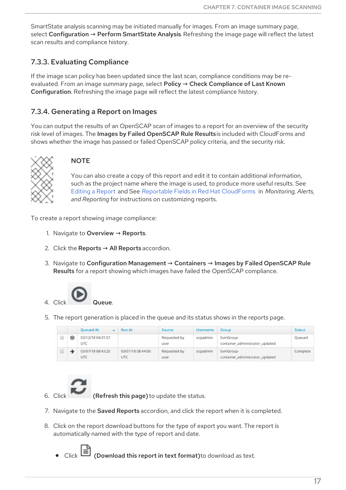SmartState analysis scanning may be initiated manually for images. From an image summary page, select Configuration → Perform SmartState Analysis. Refreshing the image page will reflect the latest scan results and compliance history.

## <span id="page-20-0"></span>7.3.3. Evaluating Compliance

If the image scan policy has been updated since the last scan, compliance conditions may be reevaluated. From an image summary page, select Policy → Check Compliance of Last Known Configuration. Refreshing the image page will reflect the latest compliance history.

## <span id="page-20-1"></span>7.3.4. Generating a Report on Images

You can output the results of an OpenSCAP scan of images to a report for an overview of the security risk level of images. The Images by Failed OpenSCAP Rule Resultsis included with CloudForms and shows whether the image has passed or failed OpenSCAP policy criteria, and the security risk.



## **NOTE**

You can also create a copy of this report and edit it to contain additional information, such as the project name where the image is used, to produce more useful results. See [Editing](https://access.redhat.com/documentation/en-us/red_hat_cloudforms/4.7/html-single/monitoring_alerts_and_reporting/#editing-a-report) a Report and See Reportable Fields in Red Hat [CloudForms](https://access.redhat.com/documentation/en-us/red_hat_cloudforms/4.7/html-single/monitoring_alerts_and_reporting/#appe_reportable_fields) in *Monitoring, Alerts, and Reporting* for instructions on customizing reports.

To create a report showing image compliance:

- 1. Navigate to Overview  $\rightarrow$  Reports.
- 2. Click the Reports  $\rightarrow$  All Reports accordion.
- 3. Navigate to Configuration Management → Containers → Images by Failed OpenSCAP Rule Results for a report showing which images have failed the OpenSCAP compliance.



5. The report generation is placed in the queue and its status shows in the reports page.

|  | <b>Oueued At</b>                | <b>Run At</b>                   | Source               | <b>Username</b> | <b>Group</b>                                 | <b>Status</b> |
|--|---------------------------------|---------------------------------|----------------------|-----------------|----------------------------------------------|---------------|
|  | 03/12/18 04:31:57<br>UTC        |                                 | Requested by<br>user | ocpadmin        | EvmGroup-<br>container administrator updated | Oueued        |
|  | 03/07/18 08:43:25<br><b>UTC</b> | 03/07/18 08:44:00<br><b>UTC</b> | Requested by<br>user | ocpadmin        | EvmGroup-<br>container administrator updated | Complete      |

6. Click (Refresh this page) to update the status.

- 7. Navigate to the **Saved Reports** accordion, and click the report when it is completed.
- 8. Click on the report download buttons for the type of export you want. The report is automatically named with the type of report and date.
	- Click  $\equiv$  (Download this report in text format)to download as text.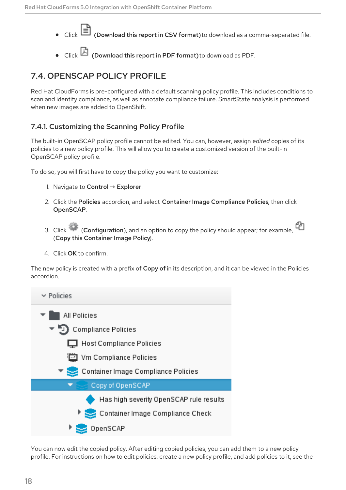- Click **(B)** (Download this report in CSV format)to download as a comma-separated file.
- Click (Download this report in PDF format)to download as PDF.

## <span id="page-21-0"></span>7.4. OPENSCAP POLICY PROFILE

Red Hat CloudForms is pre-configured with a default scanning policy profile. This includes conditions to scan and identify compliance, as well as annotate compliance failure. SmartState analysis is performed when new images are added to OpenShift.

## <span id="page-21-1"></span>7.4.1. Customizing the Scanning Policy Profile

The built-in OpenSCAP policy profile cannot be edited. You can, however, assign *edited* copies of its policies to a new policy profile. This will allow you to create a customized version of the built-in OpenSCAP policy profile.

To do so, you will first have to copy the policy you want to customize:

- 1. Navigate to Control  $\rightarrow$  Explorer.
- 2. Click the Policies accordion, and select Container Image Compliance Policies, then click OpenSCAP.
- 3. Click (Configuration), and an option to copy the policy should appear; for example, (Copy this Container Image Policy).
- 4. Click OK to confirm.

The new policy is created with a prefix of Copy of in its description, and it can be viewed in the Policies accordion.



You can now edit the copied policy. After editing copied policies, you can add them to a new policy profile. For instructions on how to edit policies, create a new policy profile, and add policies to it, see the